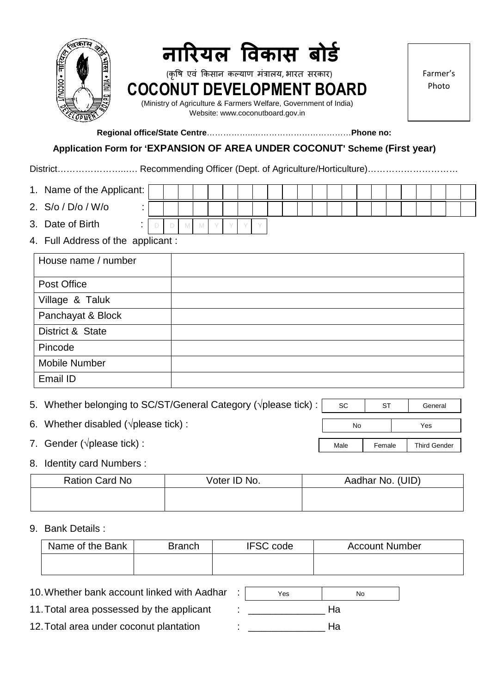

**Regional office/State Centre**……………..………………………………**Phone no:** 

#### **Application Form for 'EXPANSION OF AREA UNDER COCONUT' Scheme (First year)**

District…………………..…. Recommending Officer (Dept. of Agriculture/Horticulture)…………………………

- 1. Name of the Applicant:
- 2. S/o / D/o / W/o :
- 3. Date of Birth :

D D M M Y Y Y Y

4. Full Address of the applicant :

| House name / number  |  |
|----------------------|--|
| Post Office          |  |
| Village & Taluk      |  |
| Panchayat & Block    |  |
| District & State     |  |
| Pincode              |  |
| <b>Mobile Number</b> |  |
| Email ID             |  |

| 5. Whether belonging to SC/ST/General Category ( $\sqrt{p}$ ) please tick) : | <b>SC</b> | <b>ST</b> | General             |
|------------------------------------------------------------------------------|-----------|-----------|---------------------|
| 6. Whether disabled ( $\sqrt{p}$ please tick):                               | No        |           | Yes                 |
| 7. Gender ( $\sqrt{p}$ please tick):                                         | Male      | Female    | <b>Third Gender</b> |

#### 8. Identity card Numbers :

| <b>Ration Card No</b> | Voter ID No. | Aadhar No. (UID) |
|-----------------------|--------------|------------------|
|                       |              |                  |

#### 9. Bank Details :

| Name of the Bank | <b>Branch</b> | <b>IFSC code</b> | <b>Account Number</b> |
|------------------|---------------|------------------|-----------------------|
|                  |               |                  |                       |

# 10. Whether bank account linked with Aadhar :

11. Total area possessed by the applicant : \_\_\_\_\_\_\_\_\_\_\_\_\_\_ Ha

12. Total area under coconut plantation : \_\_\_\_\_\_\_\_\_\_\_\_\_\_ Ha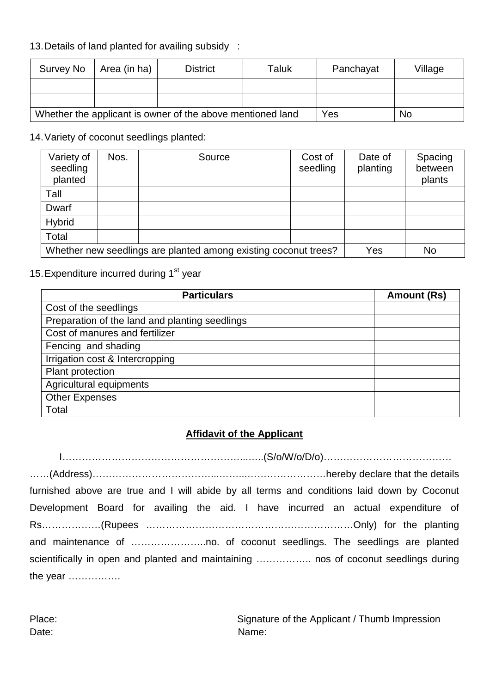# 13. Details of land planted for availing subsidy :

| Survey No                                                  | $\vert$ Area (in ha) | <b>District</b> | Taluk | Panchayat | Village |
|------------------------------------------------------------|----------------------|-----------------|-------|-----------|---------|
|                                                            |                      |                 |       |           |         |
|                                                            |                      |                 |       |           |         |
| Whether the applicant is owner of the above mentioned land |                      |                 | Yes   | <b>No</b> |         |

## 14. Variety of coconut seedlings planted:

| Variety of<br>seedling<br>planted                               | Nos. | Source | Cost of<br>seedling | Date of<br>planting | Spacing<br>between<br>plants |
|-----------------------------------------------------------------|------|--------|---------------------|---------------------|------------------------------|
| Tall                                                            |      |        |                     |                     |                              |
| Dwarf                                                           |      |        |                     |                     |                              |
| <b>Hybrid</b>                                                   |      |        |                     |                     |                              |
| Total                                                           |      |        |                     |                     |                              |
| Whether new seedlings are planted among existing coconut trees? |      |        | Yes                 | <b>No</b>           |                              |

# 15. Expenditure incurred during 1<sup>st</sup> year

| <b>Particulars</b>                             | Amount (Rs) |
|------------------------------------------------|-------------|
| Cost of the seedlings                          |             |
| Preparation of the land and planting seedlings |             |
| Cost of manures and fertilizer                 |             |
| Fencing and shading                            |             |
| Irrigation cost & Intercropping                |             |
| Plant protection                               |             |
| Agricultural equipments                        |             |
| <b>Other Expenses</b>                          |             |
| Total                                          |             |

# **Affidavit of the Applicant**

I………………………………………………...…..(S/o/W/o/D/o)………………………………… ……(Address)………………………………...……...……………………hereby declare that the details furnished above are true and I will abide by all terms and conditions laid down by Coconut Development Board for availing the aid. I have incurred an actual expenditure of Rs………………(Rupees ………………………………………………………Only) for the planting and maintenance of …………………..no. of coconut seedlings. The seedlings are planted scientifically in open and planted and maintaining …………….. nos of coconut seedlings during the year …………….

Place: Signature of the Applicant / Thumb Impression Date: Name: Name: Name: Name: Name: Name: Name: Name: Name: Name: Name: Name: Name: Name: Name: Name: Name: Name: Name: Name: Name: Name: Name: Name: Name: Name: Name: Name: Name: Name: Name: Name: Name: Name: Name: Name: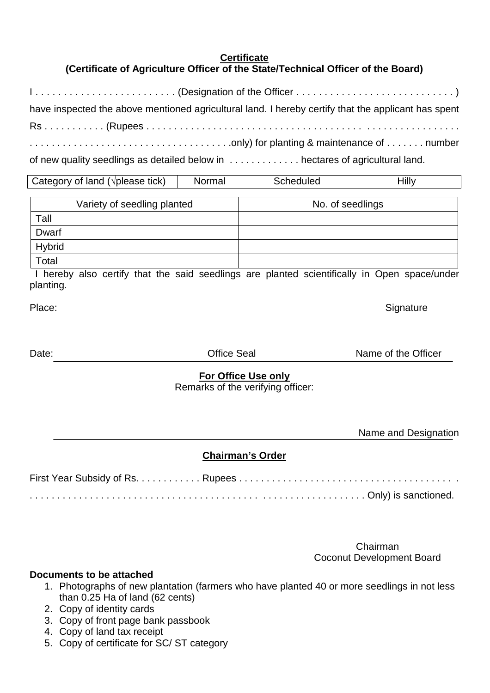## **Certificate**

# **(Certificate of Agriculture Officer of the State/Technical Officer of the Board)**

| have inspected the above mentioned agricultural land. I hereby certify that the applicant has spent |
|-----------------------------------------------------------------------------------------------------|
|                                                                                                     |
|                                                                                                     |
| of new quality seedlings as detailed below in  hectares of agricultural land.                       |

| Category of land ( $\sqrt{p}$ ) please tick) | Normal | Scheduled | Hilly |
|----------------------------------------------|--------|-----------|-------|
|----------------------------------------------|--------|-----------|-------|

|               | Variety of seedling planted | No. of seedlings |
|---------------|-----------------------------|------------------|
| Tall          |                             |                  |
| Dwarf         |                             |                  |
| <b>Hybrid</b> |                             |                  |
| Total         |                             |                  |

 I hereby also certify that the said seedlings are planted scientifically in Open space/under planting.

Place: Signature Signature Communications of the State Signature Signature Signature

Date: Date: Contract Contract Contract Office Seal Contract Contract Name of the Officer

#### **For Office Use only**

Remarks of the verifying officer:

Name and Designation

# **Chairman's Order**

Chairman Coconut Development Board

#### **Documents to be attached**

- 1. Photographs of new plantation (farmers who have planted 40 or more seedlings in not less than 0.25 Ha of land (62 cents)
- 2. Copy of identity cards
- 3. Copy of front page bank passbook
- 4. Copy of land tax receipt
- 5. Copy of certificate for SC/ ST category